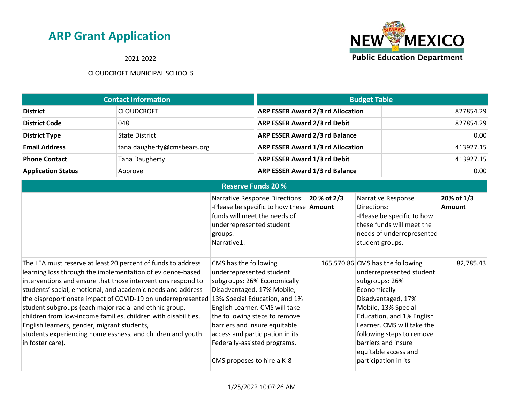2021-2022



|                           | <b>Contact Information</b>  | <b>Budget Table</b>                      |           |
|---------------------------|-----------------------------|------------------------------------------|-----------|
| <b>District</b>           | <b>CLOUDCROFT</b>           | <b>ARP ESSER Award 2/3 rd Allocation</b> | 827854.29 |
| <b>District Code</b>      | 048                         | <b>ARP ESSER Award 2/3 rd Debit</b>      | 827854.29 |
| <b>District Type</b>      | <b>State District</b>       | <b>ARP ESSER Award 2/3 rd Balance</b>    | 0.00      |
| <b>Email Address</b>      | tana.daugherty@cmsbears.org | <b>ARP ESSER Award 1/3 rd Allocation</b> | 413927.15 |
| <b>Phone Contact</b>      | Tana Daugherty              | <b>ARP ESSER Award 1/3 rd Debit</b>      | 413927.15 |
| <b>Application Status</b> | Approve                     | <b>ARP ESSER Award 1/3 rd Balance</b>    | 0.00      |

|                                                                                                                                                                                                                                                                                                                                                                                                                                                                                                                                                                                       | <b>Reserve Funds 20 %</b>                                                                                                                                                                                                                                                                                                                            |             |                                                                                                                                                                                                                                                                                                            |                             |
|---------------------------------------------------------------------------------------------------------------------------------------------------------------------------------------------------------------------------------------------------------------------------------------------------------------------------------------------------------------------------------------------------------------------------------------------------------------------------------------------------------------------------------------------------------------------------------------|------------------------------------------------------------------------------------------------------------------------------------------------------------------------------------------------------------------------------------------------------------------------------------------------------------------------------------------------------|-------------|------------------------------------------------------------------------------------------------------------------------------------------------------------------------------------------------------------------------------------------------------------------------------------------------------------|-----------------------------|
|                                                                                                                                                                                                                                                                                                                                                                                                                                                                                                                                                                                       | <b>Narrative Response Directions:</b><br>-Please be specific to how these <b>Amount</b><br>funds will meet the needs of<br>underrepresented student<br>groups.<br>Narrative1:                                                                                                                                                                        | 20 % of 2/3 | Narrative Response<br>Directions:<br>-Please be specific to how<br>these funds will meet the<br>needs of underrepresented<br>student groups.                                                                                                                                                               | 20% of 1/3<br><b>Amount</b> |
| The LEA must reserve at least 20 percent of funds to address<br>learning loss through the implementation of evidence-based<br>interventions and ensure that those interventions respond to<br>students' social, emotional, and academic needs and address<br>the disproportionate impact of COVID-19 on underrepresented<br>student subgroups (each major racial and ethnic group,<br>children from low-income families, children with disabilities,<br>English learners, gender, migrant students,<br>students experiencing homelessness, and children and youth<br>in foster care). | CMS has the following<br>underrepresented student<br>subgroups: 26% Economically<br>Disadvantaged, 17% Mobile,<br>13% Special Education, and 1%<br>English Learner. CMS will take<br>the following steps to remove<br>barriers and insure equitable<br>access and participation in its<br>Federally-assisted programs.<br>CMS proposes to hire a K-8 |             | 165,570.86 CMS has the following<br>underrepresented student<br>subgroups: 26%<br>Economically<br>Disadvantaged, 17%<br>Mobile, 13% Special<br>Education, and 1% English<br>Learner. CMS will take the<br>following steps to remove<br>barriers and insure<br>equitable access and<br>participation in its | 82,785.43                   |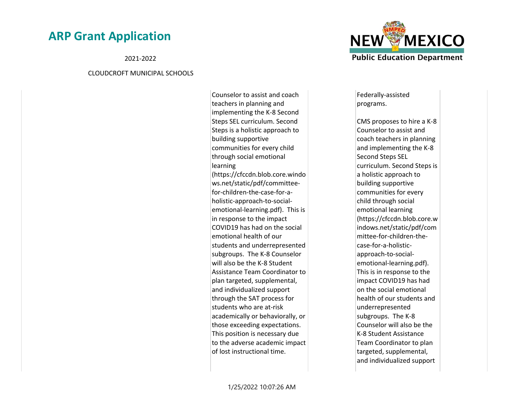2021-2022

#### CLOUDCROFT MUNICIPAL SCHOOLS

Counselor to assist and coach teachers in planning and implementing the K-8 Second Steps SEL curriculum. Second Steps is a holistic approach to building supportive communities for every child through social emotional learning (https://cfccdn.blob.core.windo ws.net/static/pdf/committeefor-children-the-case-for-aholistic-approach-to-socialemotional-learning.pdf). This is in response to the impact COVID19 has had on the social emotional health of our students and underrepresented subgroups. The K-8 Counselor will also be the K-8 Student Assistance Team Coordinator to plan targeted, supplemental, and individualized support through the SAT process for students who are at-risk academically or behaviorally, or those exceeding expectations. This position is necessary due to the adverse academic impact of lost instructional time.



Federally-assisted programs.

CMS proposes to hire a K-8 Counselor to assist and coach teachers in planning and implementing the K-8 Second Steps SEL curriculum. Second Steps is a holistic approach to building supportive communities for every child through social emotional learning (https://cfccdn.blob.core.w indows.net/static/pdf/com mittee-for-children-thecase-for-a-holisticapproach-to-socialemotional-learning.pdf). This is in response to the impact COVID19 has had on the social emotional health of our students and underrepresented subgroups. The K-8 Counselor will also be the K-8 Student Assistance Team Coordinator to plan targeted, supplemental, and individualized support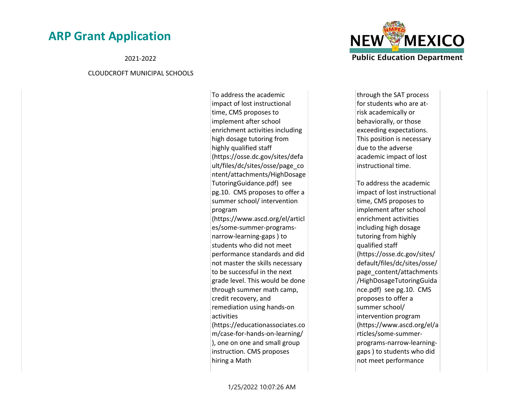2021-2022

#### CLOUDCROFT MUNICIPAL SCHOOLS

To address the academic impact of lost instructional time, CMS proposes to implement after school enrichment activities including high dosage tutoring from highly qualified staff (https://osse.dc.gov/sites/defa ult/files/dc/sites/osse/page\_co ntent/attachments/HighDosage TutoringGuidance.pdf) see pg.10. CMS proposes to offer a summer school/ intervention program (https://www.ascd.org/el/articl es/some-summer-programsnarrow-learning-gaps ) to students who did not meet performance standards and did not master the skills necessary to be successful in the next grade level. This would be done through summer math camp, credit recovery, and remediation using hands-on activities (https://educationassociates.co m/case-for-hands-on-learning/ ), one on one and small group instruction. CMS proposes hiring a Math



through the SAT process for students who are atrisk academically or behaviorally, or those exceeding expectations. This position is necessary due to the adverse academic impact of lost instructional time.

To address the academic impact of lost instructional time, CMS proposes to implement after school enrichment activities including high dosage tutoring from highly qualified staff (https://osse.dc.gov/sites/ default/files/dc/sites/osse/ page\_content/attachments /HighDosageTutoringGuida nce.pdf) see pg.10. CMS proposes to offer a summer school/ intervention program (https://www.ascd.org/el/a rticles/some-summerprograms-narrow-learninggaps ) to students who did not meet performance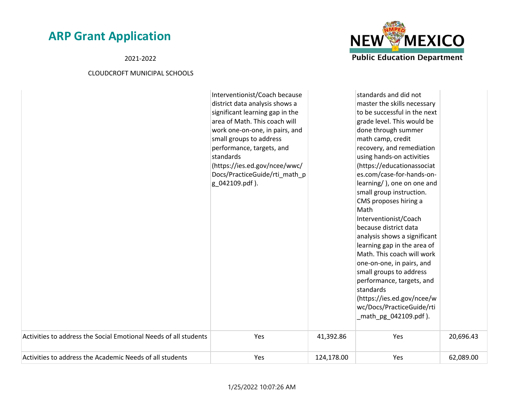2021-2022



|                                                                  | Interventionist/Coach because   |            | standards and did not        |           |
|------------------------------------------------------------------|---------------------------------|------------|------------------------------|-----------|
|                                                                  | district data analysis shows a  |            | master the skills necessary  |           |
|                                                                  | significant learning gap in the |            | to be successful in the next |           |
|                                                                  | area of Math. This coach will   |            | grade level. This would be   |           |
|                                                                  | work one-on-one, in pairs, and  |            | done through summer          |           |
|                                                                  | small groups to address         |            | math camp, credit            |           |
|                                                                  | performance, targets, and       |            | recovery, and remediation    |           |
|                                                                  | standards                       |            | using hands-on activities    |           |
|                                                                  | (https://ies.ed.gov/ncee/wwc/   |            | (https://educationassociat   |           |
|                                                                  | Docs/PracticeGuide/rti_math_p   |            | es.com/case-for-hands-on-    |           |
|                                                                  | g_042109.pdf).                  |            | learning/), one on one and   |           |
|                                                                  |                                 |            | small group instruction.     |           |
|                                                                  |                                 |            | CMS proposes hiring a        |           |
|                                                                  |                                 |            | Math                         |           |
|                                                                  |                                 |            | Interventionist/Coach        |           |
|                                                                  |                                 |            | because district data        |           |
|                                                                  |                                 |            | analysis shows a significant |           |
|                                                                  |                                 |            | learning gap in the area of  |           |
|                                                                  |                                 |            | Math. This coach will work   |           |
|                                                                  |                                 |            | one-on-one, in pairs, and    |           |
|                                                                  |                                 |            | small groups to address      |           |
|                                                                  |                                 |            | performance, targets, and    |           |
|                                                                  |                                 |            | standards                    |           |
|                                                                  |                                 |            | (https://ies.ed.gov/ncee/w   |           |
|                                                                  |                                 |            | wc/Docs/PracticeGuide/rti    |           |
|                                                                  |                                 |            | _math_pg_042109.pdf).        |           |
|                                                                  |                                 |            |                              |           |
| Activities to address the Social Emotional Needs of all students | Yes                             | 41,392.86  | Yes                          | 20,696.43 |
| Activities to address the Academic Needs of all students         | Yes                             | 124,178.00 | Yes                          | 62,089.00 |
|                                                                  |                                 |            |                              |           |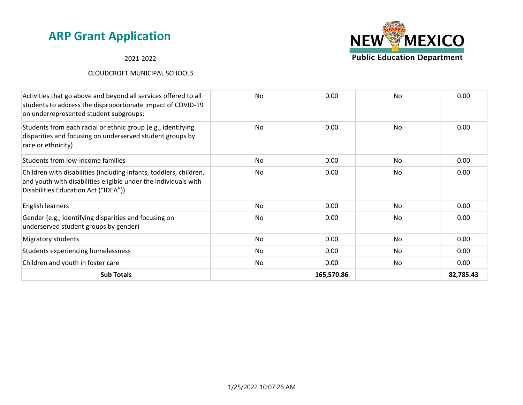### 2021-2022

| Activities that go above and beyond all services offered to all<br>students to address the disproportionate impact of COVID-19<br>on underrepresented student subgroups:      | <b>No</b> | 0.00       | <b>No</b> | 0.00      |
|-------------------------------------------------------------------------------------------------------------------------------------------------------------------------------|-----------|------------|-----------|-----------|
| Students from each racial or ethnic group (e.g., identifying<br>disparities and focusing on underserved student groups by<br>race or ethnicity)                               | No        | 0.00       | No        | 0.00      |
| Students from low-income families                                                                                                                                             | No        | 0.00       | No        | 0.00      |
| Children with disabilities (including infants, toddlers, children,<br>and youth with disabilities eligible under the Individuals with<br>Disabilities Education Act ("IDEA")) | No        | 0.00       | No        | 0.00      |
| English learners                                                                                                                                                              | No.       | 0.00       | No.       | 0.00      |
| Gender (e.g., identifying disparities and focusing on<br>underserved student groups by gender)                                                                                | No        | 0.00       | No        | 0.00      |
| Migratory students                                                                                                                                                            | No.       | 0.00       | No.       | 0.00      |
| Students experiencing homelessness                                                                                                                                            | No.       | 0.00       | No.       | 0.00      |
| Children and youth in foster care                                                                                                                                             | No        | 0.00       | No        | 0.00      |
| <b>Sub Totals</b>                                                                                                                                                             |           | 165,570.86 |           | 82,785.43 |

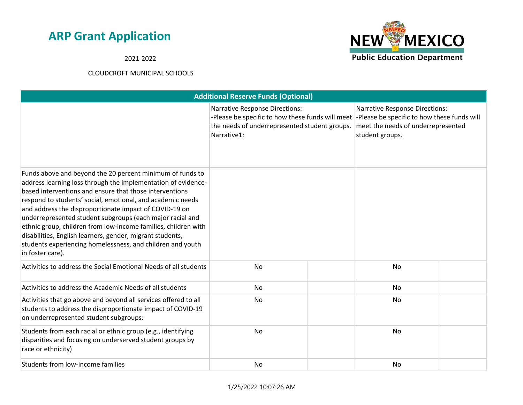**NEW MEXICO Public Education Department** 

2021-2022

|                                                                                                                                                                                                                                                                                                                                                                                                                                                                                                                                                                                             | <b>Additional Reserve Funds (Optional)</b> |  |                                                                                                                                                           |  |                                                                                                                                               |  |
|---------------------------------------------------------------------------------------------------------------------------------------------------------------------------------------------------------------------------------------------------------------------------------------------------------------------------------------------------------------------------------------------------------------------------------------------------------------------------------------------------------------------------------------------------------------------------------------------|--------------------------------------------|--|-----------------------------------------------------------------------------------------------------------------------------------------------------------|--|-----------------------------------------------------------------------------------------------------------------------------------------------|--|
|                                                                                                                                                                                                                                                                                                                                                                                                                                                                                                                                                                                             |                                            |  | <b>Narrative Response Directions:</b><br>-Please be specific to how these funds will meet<br>the needs of underrepresented student groups.<br>Narrative1: |  | <b>Narrative Response Directions:</b><br>-Please be specific to how these funds will<br>meet the needs of underrepresented<br>student groups. |  |
| Funds above and beyond the 20 percent minimum of funds to<br>address learning loss through the implementation of evidence-<br>based interventions and ensure that those interventions<br>respond to students' social, emotional, and academic needs<br>and address the disproportionate impact of COVID-19 on<br>underrepresented student subgroups (each major racial and<br>ethnic group, children from low-income families, children with<br>disabilities, English learners, gender, migrant students,<br>students experiencing homelessness, and children and youth<br>in foster care). |                                            |  |                                                                                                                                                           |  |                                                                                                                                               |  |
| Activities to address the Social Emotional Needs of all students                                                                                                                                                                                                                                                                                                                                                                                                                                                                                                                            | No                                         |  | No                                                                                                                                                        |  |                                                                                                                                               |  |
| Activities to address the Academic Needs of all students                                                                                                                                                                                                                                                                                                                                                                                                                                                                                                                                    | No                                         |  | No                                                                                                                                                        |  |                                                                                                                                               |  |
| Activities that go above and beyond all services offered to all<br>students to address the disproportionate impact of COVID-19<br>on underrepresented student subgroups:                                                                                                                                                                                                                                                                                                                                                                                                                    | No                                         |  | <b>No</b>                                                                                                                                                 |  |                                                                                                                                               |  |
| Students from each racial or ethnic group (e.g., identifying<br>disparities and focusing on underserved student groups by<br>race or ethnicity)                                                                                                                                                                                                                                                                                                                                                                                                                                             | No                                         |  | No                                                                                                                                                        |  |                                                                                                                                               |  |
| Students from low-income families                                                                                                                                                                                                                                                                                                                                                                                                                                                                                                                                                           | No                                         |  | No                                                                                                                                                        |  |                                                                                                                                               |  |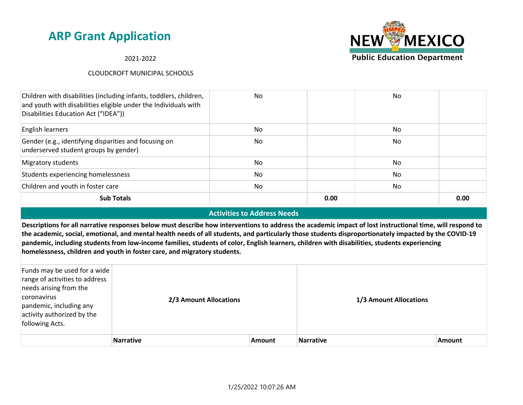2021-2022

### CLOUDCROFT MUNICIPAL SCHOOLS



#### **Activities to Address Needs**

**Descriptions for all narrative responses below must describe how interventions to address the academic impact of lost instructional time, will respond to the academic, social, emotional, and mental health needs of all students, and particularly those students disproportionately impacted by the COVID-19 pandemic, including students from low-income families, students of color, English learners, children with disabilities, students experiencing homelessness, children and youth in foster care, and migratory students.**

| Funds may be used for a wide<br>range of activities to address<br>needs arising from the<br>coronavirus<br>pandemic, including any<br>activity authorized by the<br>following Acts. | 2/3 Amount Allocations |               | 1/3 Amount Allocations |               |
|-------------------------------------------------------------------------------------------------------------------------------------------------------------------------------------|------------------------|---------------|------------------------|---------------|
|                                                                                                                                                                                     | <b>Narrative</b>       | <b>Amount</b> | <b>Narrative</b>       | <b>Amount</b> |

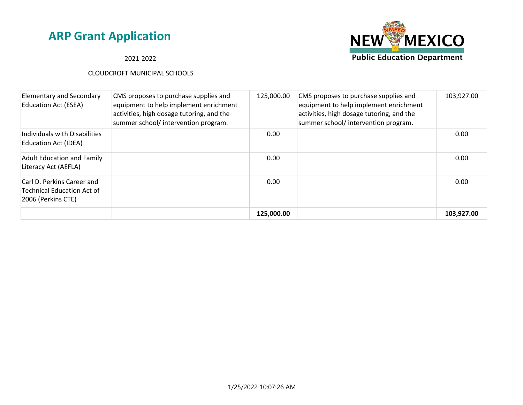

### 2021-2022

| <b>Elementary and Secondary</b><br><b>Education Act (ESEA)</b>                        | CMS proposes to purchase supplies and<br>equipment to help implement enrichment<br>activities, high dosage tutoring, and the<br>summer school/ intervention program. | 125,000.00 | CMS proposes to purchase supplies and<br>equipment to help implement enrichment<br>activities, high dosage tutoring, and the<br>summer school/ intervention program. | 103,927.00 |
|---------------------------------------------------------------------------------------|----------------------------------------------------------------------------------------------------------------------------------------------------------------------|------------|----------------------------------------------------------------------------------------------------------------------------------------------------------------------|------------|
| Individuals with Disabilities<br>Education Act (IDEA)                                 |                                                                                                                                                                      | 0.00       |                                                                                                                                                                      | 0.00       |
| <b>Adult Education and Family</b><br>Literacy Act (AEFLA)                             |                                                                                                                                                                      | 0.00       |                                                                                                                                                                      | 0.00       |
| Carl D. Perkins Career and<br><b>Technical Education Act of</b><br>2006 (Perkins CTE) |                                                                                                                                                                      | 0.00       |                                                                                                                                                                      | 0.00       |
|                                                                                       |                                                                                                                                                                      | 125,000.00 |                                                                                                                                                                      | 103,927.00 |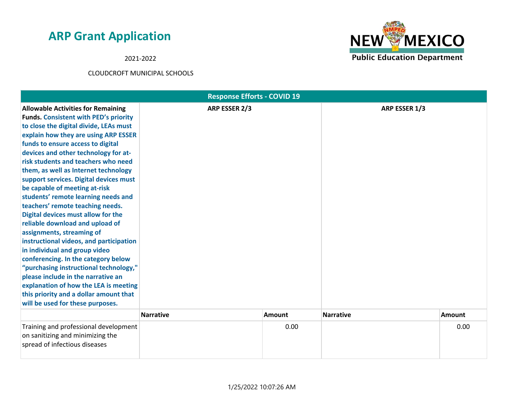2021-2022



|                                                                                                                                                                                                                                                                                                                                                                                                                                                                                                                                                                                                                                                                                                                                                                                                                                                                                                                               | <b>Response Efforts - COVID 19</b> |        |                  |               |
|-------------------------------------------------------------------------------------------------------------------------------------------------------------------------------------------------------------------------------------------------------------------------------------------------------------------------------------------------------------------------------------------------------------------------------------------------------------------------------------------------------------------------------------------------------------------------------------------------------------------------------------------------------------------------------------------------------------------------------------------------------------------------------------------------------------------------------------------------------------------------------------------------------------------------------|------------------------------------|--------|------------------|---------------|
| <b>Allowable Activities for Remaining</b><br><b>Funds. Consistent with PED's priority</b><br>to close the digital divide, LEAs must<br>explain how they are using ARP ESSER<br>funds to ensure access to digital<br>devices and other technology for at-<br>risk students and teachers who need<br>them, as well as Internet technology<br>support services. Digital devices must<br>be capable of meeting at-risk<br>students' remote learning needs and<br>teachers' remote teaching needs.<br>Digital devices must allow for the<br>reliable download and upload of<br>assignments, streaming of<br>instructional videos, and participation<br>in individual and group video<br>conferencing. In the category below<br>"purchasing instructional technology,"<br>please include in the narrative an<br>explanation of how the LEA is meeting<br>this priority and a dollar amount that<br>will be used for these purposes. | ARP ESSER 2/3                      |        | ARP ESSER 1/3    |               |
|                                                                                                                                                                                                                                                                                                                                                                                                                                                                                                                                                                                                                                                                                                                                                                                                                                                                                                                               | <b>Narrative</b>                   | Amount | <b>Narrative</b> | <b>Amount</b> |
| Training and professional development<br>on sanitizing and minimizing the<br>spread of infectious diseases                                                                                                                                                                                                                                                                                                                                                                                                                                                                                                                                                                                                                                                                                                                                                                                                                    |                                    | 0.00   |                  | 0.00          |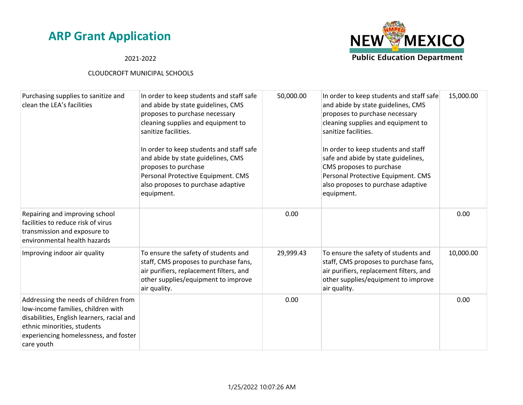

2021-2022

| Purchasing supplies to sanitize and<br>clean the LEA's facilities                                                                                                                                               | In order to keep students and staff safe<br>and abide by state guidelines, CMS<br>proposes to purchase necessary<br>cleaning supplies and equipment to<br>sanitize facilities.<br>In order to keep students and staff safe<br>and abide by state guidelines, CMS<br>proposes to purchase<br>Personal Protective Equipment. CMS<br>also proposes to purchase adaptive<br>equipment. | 50,000.00 | In order to keep students and staff safe<br>and abide by state guidelines, CMS<br>proposes to purchase necessary<br>cleaning supplies and equipment to<br>sanitize facilities.<br>In order to keep students and staff<br>safe and abide by state guidelines,<br>CMS proposes to purchase<br>Personal Protective Equipment. CMS<br>also proposes to purchase adaptive<br>equipment. | 15,000.00 |
|-----------------------------------------------------------------------------------------------------------------------------------------------------------------------------------------------------------------|------------------------------------------------------------------------------------------------------------------------------------------------------------------------------------------------------------------------------------------------------------------------------------------------------------------------------------------------------------------------------------|-----------|------------------------------------------------------------------------------------------------------------------------------------------------------------------------------------------------------------------------------------------------------------------------------------------------------------------------------------------------------------------------------------|-----------|
| Repairing and improving school<br>facilities to reduce risk of virus<br>transmission and exposure to<br>environmental health hazards                                                                            |                                                                                                                                                                                                                                                                                                                                                                                    | 0.00      |                                                                                                                                                                                                                                                                                                                                                                                    | 0.00      |
| Improving indoor air quality                                                                                                                                                                                    | To ensure the safety of students and<br>staff, CMS proposes to purchase fans,<br>air purifiers, replacement filters, and<br>other supplies/equipment to improve<br>air quality.                                                                                                                                                                                                    | 29,999.43 | To ensure the safety of students and<br>staff, CMS proposes to purchase fans,<br>air purifiers, replacement filters, and<br>other supplies/equipment to improve<br>air quality.                                                                                                                                                                                                    | 10,000.00 |
| Addressing the needs of children from<br>low-income families, children with<br>disabilities, English learners, racial and<br>ethnic minorities, students<br>experiencing homelessness, and foster<br>care youth |                                                                                                                                                                                                                                                                                                                                                                                    | 0.00      |                                                                                                                                                                                                                                                                                                                                                                                    | 0.00      |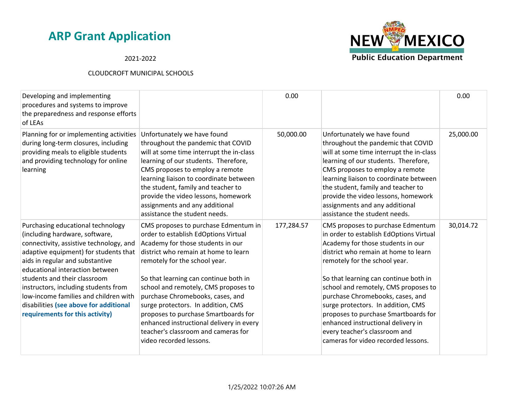2021-2022



| Developing and implementing<br>procedures and systems to improve<br>the preparedness and response efforts<br>of LEAs                                                                                                                                                                                                                                                                                                        |                                                                                                                                                                                                                                                                                                                                                                                                                                                                                                             | 0.00       |                                                                                                                                                                                                                                                                                                                                                                                                                                                                                                             | 0.00      |
|-----------------------------------------------------------------------------------------------------------------------------------------------------------------------------------------------------------------------------------------------------------------------------------------------------------------------------------------------------------------------------------------------------------------------------|-------------------------------------------------------------------------------------------------------------------------------------------------------------------------------------------------------------------------------------------------------------------------------------------------------------------------------------------------------------------------------------------------------------------------------------------------------------------------------------------------------------|------------|-------------------------------------------------------------------------------------------------------------------------------------------------------------------------------------------------------------------------------------------------------------------------------------------------------------------------------------------------------------------------------------------------------------------------------------------------------------------------------------------------------------|-----------|
| Planning for or implementing activities<br>during long-term closures, including<br>providing meals to eligible students<br>and providing technology for online<br>learning                                                                                                                                                                                                                                                  | Unfortunately we have found<br>throughout the pandemic that COVID<br>will at some time interrupt the in-class<br>learning of our students. Therefore,<br>CMS proposes to employ a remote<br>learning liaison to coordinate between<br>the student, family and teacher to<br>provide the video lessons, homework<br>assignments and any additional<br>assistance the student needs.                                                                                                                          | 50,000.00  | Unfortunately we have found<br>throughout the pandemic that COVID<br>will at some time interrupt the in-class<br>learning of our students. Therefore,<br>CMS proposes to employ a remote<br>learning liaison to coordinate between<br>the student, family and teacher to<br>provide the video lessons, homework<br>assignments and any additional<br>assistance the student needs.                                                                                                                          | 25,000.00 |
| Purchasing educational technology<br>(including hardware, software,<br>connectivity, assistive technology, and<br>adaptive equipment) for students that<br>aids in regular and substantive<br>educational interaction between<br>students and their classroom<br>instructors, including students from<br>low-income families and children with<br>disabilities (see above for additional<br>requirements for this activity) | CMS proposes to purchase Edmentum in<br>order to establish EdOptions Virtual<br>Academy for those students in our<br>district who remain at home to learn<br>remotely for the school year.<br>So that learning can continue both in<br>school and remotely, CMS proposes to<br>purchase Chromebooks, cases, and<br>surge protectors. In addition, CMS<br>proposes to purchase Smartboards for<br>enhanced instructional delivery in every<br>teacher's classroom and cameras for<br>video recorded lessons. | 177,284.57 | CMS proposes to purchase Edmentum<br>in order to establish EdOptions Virtual<br>Academy for those students in our<br>district who remain at home to learn<br>remotely for the school year.<br>So that learning can continue both in<br>school and remotely, CMS proposes to<br>purchase Chromebooks, cases, and<br>surge protectors. In addition, CMS<br>proposes to purchase Smartboards for<br>enhanced instructional delivery in<br>every teacher's classroom and<br>cameras for video recorded lessons. | 30,014.72 |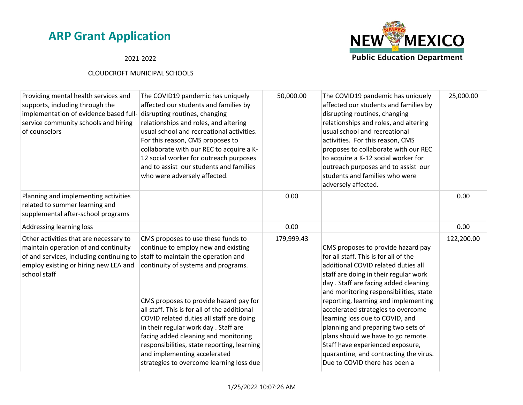### 2021-2022



| The COVID19 pandemic has uniquely<br>affected our students and families by<br>disrupting routines, changing<br>relationships and roles, and altering<br>usual school and recreational activities.<br>For this reason, CMS proposes to<br>collaborate with our REC to acquire a K-<br>12 social worker for outreach purposes<br>and to assist our students and families<br>who were adversely affected.                                                                                                                                             | 50,000.00  | The COVID19 pandemic has uniquely<br>affected our students and families by<br>disrupting routines, changing<br>relationships and roles, and altering<br>usual school and recreational<br>activities. For this reason, CMS<br>proposes to collaborate with our REC<br>to acquire a K-12 social worker for<br>outreach purposes and to assist our<br>students and families who were<br>adversely affected.                                                                                                                                                  | 25,000.00  |
|----------------------------------------------------------------------------------------------------------------------------------------------------------------------------------------------------------------------------------------------------------------------------------------------------------------------------------------------------------------------------------------------------------------------------------------------------------------------------------------------------------------------------------------------------|------------|-----------------------------------------------------------------------------------------------------------------------------------------------------------------------------------------------------------------------------------------------------------------------------------------------------------------------------------------------------------------------------------------------------------------------------------------------------------------------------------------------------------------------------------------------------------|------------|
|                                                                                                                                                                                                                                                                                                                                                                                                                                                                                                                                                    | 0.00       |                                                                                                                                                                                                                                                                                                                                                                                                                                                                                                                                                           | 0.00       |
|                                                                                                                                                                                                                                                                                                                                                                                                                                                                                                                                                    | 0.00       |                                                                                                                                                                                                                                                                                                                                                                                                                                                                                                                                                           | 0.00       |
| CMS proposes to use these funds to<br>continue to employ new and existing<br>of and services, including continuing to staff to maintain the operation and<br>continuity of systems and programs.<br>CMS proposes to provide hazard pay for<br>all staff. This is for all of the additional<br>COVID related duties all staff are doing<br>in their regular work day . Staff are<br>facing added cleaning and monitoring<br>responsibilities, state reporting, learning<br>and implementing accelerated<br>strategies to overcome learning loss due | 179,999.43 | CMS proposes to provide hazard pay<br>for all staff. This is for all of the<br>additional COVID related duties all<br>staff are doing in their regular work<br>day. Staff are facing added cleaning<br>and monitoring responsibilities, state<br>reporting, learning and implementing<br>accelerated strategies to overcome<br>learning loss due to COVID, and<br>planning and preparing two sets of<br>plans should we have to go remote.<br>Staff have experienced exposure,<br>quarantine, and contracting the virus.<br>Due to COVID there has been a | 122,200.00 |
|                                                                                                                                                                                                                                                                                                                                                                                                                                                                                                                                                    |            |                                                                                                                                                                                                                                                                                                                                                                                                                                                                                                                                                           |            |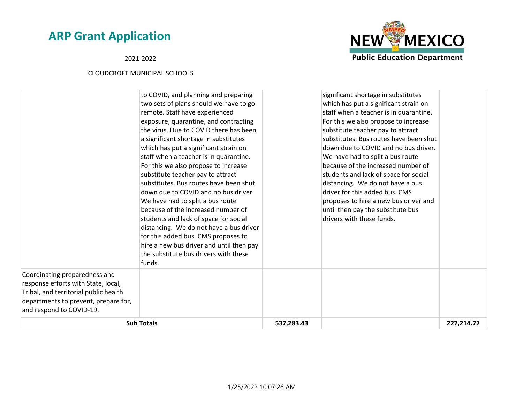2021-2022



| <b>Sub Totals</b>                                                                                                                                                                                                                                                                                                                                                                                                                                                                                                                                                                                                                                                                                                                                                                                  | 537,283.43 |                                                                                                                                                                                                                                                                                                                                                                                                                                                                                                                                                                                           | 227,214.72 |
|----------------------------------------------------------------------------------------------------------------------------------------------------------------------------------------------------------------------------------------------------------------------------------------------------------------------------------------------------------------------------------------------------------------------------------------------------------------------------------------------------------------------------------------------------------------------------------------------------------------------------------------------------------------------------------------------------------------------------------------------------------------------------------------------------|------------|-------------------------------------------------------------------------------------------------------------------------------------------------------------------------------------------------------------------------------------------------------------------------------------------------------------------------------------------------------------------------------------------------------------------------------------------------------------------------------------------------------------------------------------------------------------------------------------------|------------|
| Coordinating preparedness and<br>response efforts with State, local,<br>Tribal, and territorial public health<br>departments to prevent, prepare for,<br>and respond to COVID-19.                                                                                                                                                                                                                                                                                                                                                                                                                                                                                                                                                                                                                  |            |                                                                                                                                                                                                                                                                                                                                                                                                                                                                                                                                                                                           |            |
| to COVID, and planning and preparing<br>two sets of plans should we have to go<br>remote. Staff have experienced<br>exposure, quarantine, and contracting<br>the virus. Due to COVID there has been<br>a significant shortage in substitutes<br>which has put a significant strain on<br>staff when a teacher is in quarantine.<br>For this we also propose to increase<br>substitute teacher pay to attract<br>substitutes. Bus routes have been shut<br>down due to COVID and no bus driver.<br>We have had to split a bus route<br>because of the increased number of<br>students and lack of space for social<br>distancing. We do not have a bus driver<br>for this added bus. CMS proposes to<br>hire a new bus driver and until then pay<br>the substitute bus drivers with these<br>funds. |            | significant shortage in substitutes<br>which has put a significant strain on<br>staff when a teacher is in quarantine.<br>For this we also propose to increase<br>substitute teacher pay to attract<br>substitutes. Bus routes have been shut<br>down due to COVID and no bus driver.<br>We have had to split a bus route<br>because of the increased number of<br>students and lack of space for social<br>distancing. We do not have a bus<br>driver for this added bus. CMS<br>proposes to hire a new bus driver and<br>until then pay the substitute bus<br>drivers with these funds. |            |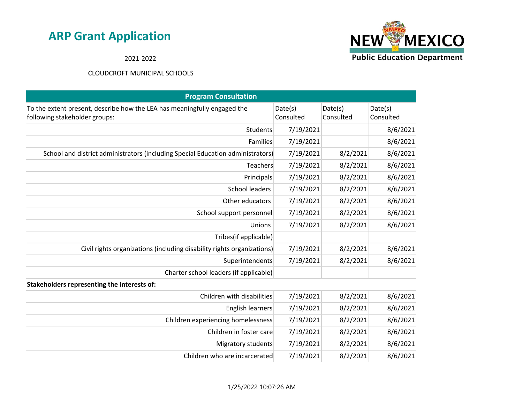**NEW MEXICO Public Education Department** 

2021-2022

| <b>Program Consultation</b>                                                                               |                      |                      |                      |
|-----------------------------------------------------------------------------------------------------------|----------------------|----------------------|----------------------|
| To the extent present, describe how the LEA has meaningfully engaged the<br>following stakeholder groups: | Date(s)<br>Consulted | Date(s)<br>Consulted | Date(s)<br>Consulted |
| Students                                                                                                  | 7/19/2021            |                      | 8/6/2021             |
| Families                                                                                                  | 7/19/2021            |                      | 8/6/2021             |
| School and district administrators (including Special Education administrators)                           | 7/19/2021            | 8/2/2021             | 8/6/2021             |
| Teachers                                                                                                  | 7/19/2021            | 8/2/2021             | 8/6/2021             |
| Principals                                                                                                | 7/19/2021            | 8/2/2021             | 8/6/2021             |
| <b>School leaders</b>                                                                                     | 7/19/2021            | 8/2/2021             | 8/6/2021             |
| Other educators                                                                                           | 7/19/2021            | 8/2/2021             | 8/6/2021             |
| School support personnel                                                                                  | 7/19/2021            | 8/2/2021             | 8/6/2021             |
| Unions                                                                                                    | 7/19/2021            | 8/2/2021             | 8/6/2021             |
| Tribes(if applicable)                                                                                     |                      |                      |                      |
| Civil rights organizations (including disability rights organizations)                                    | 7/19/2021            | 8/2/2021             | 8/6/2021             |
| Superintendents                                                                                           | 7/19/2021            | 8/2/2021             | 8/6/2021             |
| Charter school leaders (if applicable)                                                                    |                      |                      |                      |
| Stakeholders representing the interests of:                                                               |                      |                      |                      |
| Children with disabilities                                                                                | 7/19/2021            | 8/2/2021             | 8/6/2021             |
| <b>English learners</b>                                                                                   | 7/19/2021            | 8/2/2021             | 8/6/2021             |
| Children experiencing homelessness                                                                        | 7/19/2021            | 8/2/2021             | 8/6/2021             |
| Children in foster care                                                                                   | 7/19/2021            | 8/2/2021             | 8/6/2021             |
| <b>Migratory students</b>                                                                                 | 7/19/2021            | 8/2/2021             | 8/6/2021             |
| Children who are incarcerated                                                                             | 7/19/2021            | 8/2/2021             | 8/6/2021             |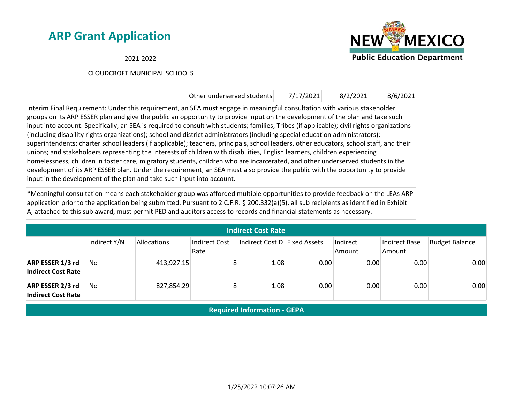2021-2022

### CLOUDCROFT MUNICIPAL SCHOOLS



| Other underserved students                                                                                                                                                                                                                                                                                                                                                                                                                                                                                                                                                                                                                                                                                                                                                                                                                                                                                                                                                                                                                                                                                                                                        | 7/17/2021 | 8/2/2021 | 8/6/2021 |
|-------------------------------------------------------------------------------------------------------------------------------------------------------------------------------------------------------------------------------------------------------------------------------------------------------------------------------------------------------------------------------------------------------------------------------------------------------------------------------------------------------------------------------------------------------------------------------------------------------------------------------------------------------------------------------------------------------------------------------------------------------------------------------------------------------------------------------------------------------------------------------------------------------------------------------------------------------------------------------------------------------------------------------------------------------------------------------------------------------------------------------------------------------------------|-----------|----------|----------|
| Interim Final Requirement: Under this requirement, an SEA must engage in meaningful consultation with various stakeholder<br>groups on its ARP ESSER plan and give the public an opportunity to provide input on the development of the plan and take such<br>input into account. Specifically, an SEA is required to consult with students; families; Tribes (if applicable); civil rights organizations<br>(including disability rights organizations); school and district administrators (including special education administrators);<br>superintendents; charter school leaders (if applicable); teachers, principals, school leaders, other educators, school staff, and their<br>unions; and stakeholders representing the interests of children with disabilities, English learners, children experiencing<br>homelessness, children in foster care, migratory students, children who are incarcerated, and other underserved students in the<br>development of its ARP ESSER plan. Under the requirement, an SEA must also provide the public with the opportunity to provide<br>input in the development of the plan and take such input into account. |           |          |          |

\*Meaningful consultation means each stakeholder group was afforded multiple opportunities to provide feedback on the LEAs ARP application prior to the application being submitted. Pursuant to 2 C.F.R. § 200.332(a)(5), all sub recipients as identified in Exhibit A, attached to this sub award, must permit PED and auditors access to records and financial statements as necessary.

| <b>Indirect Cost Rate</b>                     |              |             |                       |                              |      |                    |                                |                       |
|-----------------------------------------------|--------------|-------------|-----------------------|------------------------------|------|--------------------|--------------------------------|-----------------------|
|                                               | Indirect Y/N | Allocations | Indirect Cost<br>Rate | Indirect Cost D Fixed Assets |      | Indirect<br>Amount | <b>Indirect Base</b><br>Amount | <b>Budget Balance</b> |
| ARP ESSER 1/3 rd<br><b>Indirect Cost Rate</b> | No           | 413,927.15  | 8 <sup>1</sup>        | 1.08                         | 0.00 | 0.00               | 0.00                           | 0.00                  |
| ARP ESSER 2/3 rd<br><b>Indirect Cost Rate</b> | No           | 827,854.29  | 8                     | 1.08                         | 0.00 | 0.00               | 0.00                           | 0.00                  |

**Required Information - GEPA**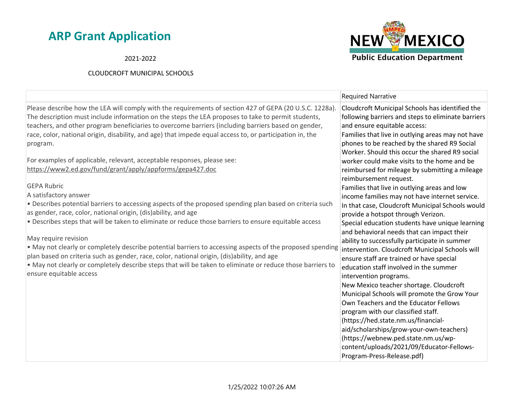2021-2022



|                                                                                                                                                                                                                                                                                                                                                                                                                                                                                                                                                                                                                                                                                                                                                                                                                                                                                                                                                                                                                                                                                                                                                                                                                                                                                                        | <b>Required Narrative</b>                                                                                                                                                                                                                                                                                                                                                                                                                                                                                                                                                                                                                                                                                                                                                                                                                                                                                                                                                                                                                                                                                          |
|--------------------------------------------------------------------------------------------------------------------------------------------------------------------------------------------------------------------------------------------------------------------------------------------------------------------------------------------------------------------------------------------------------------------------------------------------------------------------------------------------------------------------------------------------------------------------------------------------------------------------------------------------------------------------------------------------------------------------------------------------------------------------------------------------------------------------------------------------------------------------------------------------------------------------------------------------------------------------------------------------------------------------------------------------------------------------------------------------------------------------------------------------------------------------------------------------------------------------------------------------------------------------------------------------------|--------------------------------------------------------------------------------------------------------------------------------------------------------------------------------------------------------------------------------------------------------------------------------------------------------------------------------------------------------------------------------------------------------------------------------------------------------------------------------------------------------------------------------------------------------------------------------------------------------------------------------------------------------------------------------------------------------------------------------------------------------------------------------------------------------------------------------------------------------------------------------------------------------------------------------------------------------------------------------------------------------------------------------------------------------------------------------------------------------------------|
| Please describe how the LEA will comply with the requirements of section 427 of GEPA (20 U.S.C. 1228a).<br>The description must include information on the steps the LEA proposes to take to permit students,<br>teachers, and other program beneficiaries to overcome barriers (including barriers based on gender,<br>race, color, national origin, disability, and age) that impede equal access to, or participation in, the<br>program.<br>For examples of applicable, relevant, acceptable responses, please see:<br>https://www2.ed.gov/fund/grant/apply/appforms/gepa427.doc<br><b>GEPA Rubric</b><br>A satisfactory answer<br>. Describes potential barriers to accessing aspects of the proposed spending plan based on criteria such<br>as gender, race, color, national origin, (dis)ability, and age<br>. Describes steps that will be taken to eliminate or reduce those barriers to ensure equitable access<br>May require revision<br>• May not clearly or completely describe potential barriers to accessing aspects of the proposed spending<br>plan based on criteria such as gender, race, color, national origin, (dis)ability, and age<br>. May not clearly or completely describe steps that will be taken to eliminate or reduce those barriers to<br>ensure equitable access | Cloudcroft Municipal Schools has identified the<br>following barriers and steps to eliminate barriers<br>and ensure equitable access:<br>Families that live in outlying areas may not have<br>phones to be reached by the shared R9 Social<br>Worker, Should this occur the shared R9 social<br>worker could make visits to the home and be<br>reimbursed for mileage by submitting a mileage<br>reimbursement request.<br>Families that live in outlying areas and low<br>income families may not have internet service.<br>In that case, Cloudcroft Municipal Schools would<br>provide a hotspot through Verizon.<br>Special education students have unique learning<br>and behavioral needs that can impact their<br>ability to successfully participate in summer<br>intervention. Cloudcroft Municipal Schools will<br>ensure staff are trained or have special<br>education staff involved in the summer<br>intervention programs.<br>New Mexico teacher shortage. Cloudcroft<br>Municipal Schools will promote the Grow Your<br>Own Teachers and the Educator Fellows<br>program with our classified staff. |
|                                                                                                                                                                                                                                                                                                                                                                                                                                                                                                                                                                                                                                                                                                                                                                                                                                                                                                                                                                                                                                                                                                                                                                                                                                                                                                        | (https://hed.state.nm.us/financial-<br>aid/scholarships/grow-your-own-teachers)<br>(https://webnew.ped.state.nm.us/wp-<br>content/uploads/2021/09/Educator-Fellows-                                                                                                                                                                                                                                                                                                                                                                                                                                                                                                                                                                                                                                                                                                                                                                                                                                                                                                                                                |
|                                                                                                                                                                                                                                                                                                                                                                                                                                                                                                                                                                                                                                                                                                                                                                                                                                                                                                                                                                                                                                                                                                                                                                                                                                                                                                        | Program-Press-Release.pdf)                                                                                                                                                                                                                                                                                                                                                                                                                                                                                                                                                                                                                                                                                                                                                                                                                                                                                                                                                                                                                                                                                         |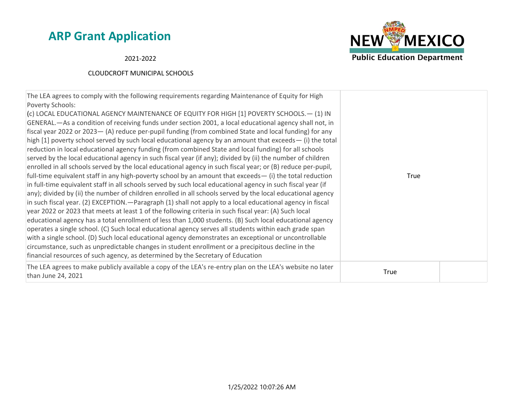**NEW MEXICO Public Education Department** 

2021-2022

| The LEA agrees to comply with the following requirements regarding Maintenance of Equity for High<br>Poverty Schools:<br>(c) LOCAL EDUCATIONAL AGENCY MAINTENANCE OF EQUITY FOR HIGH [1] POVERTY SCHOOLS. - (1) IN<br>GENERAL.—As a condition of receiving funds under section 2001, a local educational agency shall not, in<br>fiscal year 2022 or 2023 - (A) reduce per-pupil funding (from combined State and local funding) for any<br>high [1] poverty school served by such local educational agency by an amount that exceeds— (i) the total<br>reduction in local educational agency funding (from combined State and local funding) for all schools<br>served by the local educational agency in such fiscal year (if any); divided by (ii) the number of children<br>enrolled in all schools served by the local educational agency in such fiscal year; or (B) reduce per-pupil,<br>full-time equivalent staff in any high-poverty school by an amount that exceeds $-$ (i) the total reduction<br>in full-time equivalent staff in all schools served by such local educational agency in such fiscal year (if<br>any); divided by (ii) the number of children enrolled in all schools served by the local educational agency<br>in such fiscal year. (2) EXCEPTION. — Paragraph (1) shall not apply to a local educational agency in fiscal<br>year 2022 or 2023 that meets at least 1 of the following criteria in such fiscal year: (A) Such local<br>educational agency has a total enrollment of less than 1,000 students. (B) Such local educational agency<br>operates a single school. (C) Such local educational agency serves all students within each grade span<br>with a single school. (D) Such local educational agency demonstrates an exceptional or uncontrollable<br>circumstance, such as unpredictable changes in student enrollment or a precipitous decline in the<br>financial resources of such agency, as determined by the Secretary of Education | True |
|-------------------------------------------------------------------------------------------------------------------------------------------------------------------------------------------------------------------------------------------------------------------------------------------------------------------------------------------------------------------------------------------------------------------------------------------------------------------------------------------------------------------------------------------------------------------------------------------------------------------------------------------------------------------------------------------------------------------------------------------------------------------------------------------------------------------------------------------------------------------------------------------------------------------------------------------------------------------------------------------------------------------------------------------------------------------------------------------------------------------------------------------------------------------------------------------------------------------------------------------------------------------------------------------------------------------------------------------------------------------------------------------------------------------------------------------------------------------------------------------------------------------------------------------------------------------------------------------------------------------------------------------------------------------------------------------------------------------------------------------------------------------------------------------------------------------------------------------------------------------------------------------------------------------------------------------------------------------------------------------|------|
| The LEA agrees to make publicly available a copy of the LEA's re-entry plan on the LEA's website no later<br>than June 24, 2021                                                                                                                                                                                                                                                                                                                                                                                                                                                                                                                                                                                                                                                                                                                                                                                                                                                                                                                                                                                                                                                                                                                                                                                                                                                                                                                                                                                                                                                                                                                                                                                                                                                                                                                                                                                                                                                           | True |
|                                                                                                                                                                                                                                                                                                                                                                                                                                                                                                                                                                                                                                                                                                                                                                                                                                                                                                                                                                                                                                                                                                                                                                                                                                                                                                                                                                                                                                                                                                                                                                                                                                                                                                                                                                                                                                                                                                                                                                                           |      |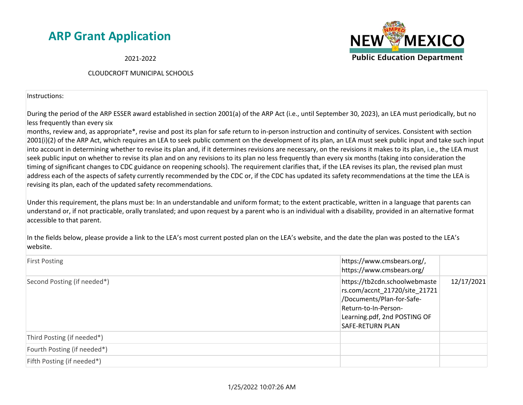2021-2022

#### CLOUDCROFT MUNICIPAL SCHOOLS

Instructions:

During the period of the ARP ESSER award established in section 2001(a) of the ARP Act (i.e., until September 30, 2023), an LEA must periodically, but no less frequently than every six

months, review and, as appropriate\*, revise and post its plan for safe return to in-person instruction and continuity of services. Consistent with section 2001(i)(2) of the ARP Act, which requires an LEA to seek public comment on the development of its plan, an LEA must seek public input and take such input into account in determining whether to revise its plan and, if it determines revisions are necessary, on the revisions it makes to its plan, i.e., the LEA must seek public input on whether to revise its plan and on any revisions to its plan no less frequently than every six months (taking into consideration the timing of significant changes to CDC guidance on reopening schools). The requirement clarifies that, if the LEA revises its plan, the revised plan must address each of the aspects of safety currently recommended by the CDC or, if the CDC has updated its safety recommendations at the time the LEA is revising its plan, each of the updated safety recommendations.

Under this requirement, the plans must be: In an understandable and uniform format; to the extent practicable, written in a language that parents can understand or, if not practicable, orally translated; and upon request by a parent who is an individual with a disability, provided in an alternative format accessible to that parent.

In the fields below, please provide a link to the LEA's most current posted plan on the LEA's website, and the date the plan was posted to the LEA's website.

| <b>First Posting</b>        | https://www.cmsbears.org/,<br>https://www.cmsbears.org/                                                                                                                                      |  |
|-----------------------------|----------------------------------------------------------------------------------------------------------------------------------------------------------------------------------------------|--|
| Second Posting (if needed*) | https://tb2cdn.schoolwebmaste<br>12/17/2021<br>rs.com/accnt_21720/site_21721<br>/Documents/Plan-for-Safe-<br>Return-to-In-Person-<br>Learning.pdf, 2nd POSTING OF<br><b>SAFE-RETURN PLAN</b> |  |
| Third Posting (if needed*)  |                                                                                                                                                                                              |  |
| Fourth Posting (if needed*) |                                                                                                                                                                                              |  |
| Fifth Posting (if needed*)  |                                                                                                                                                                                              |  |